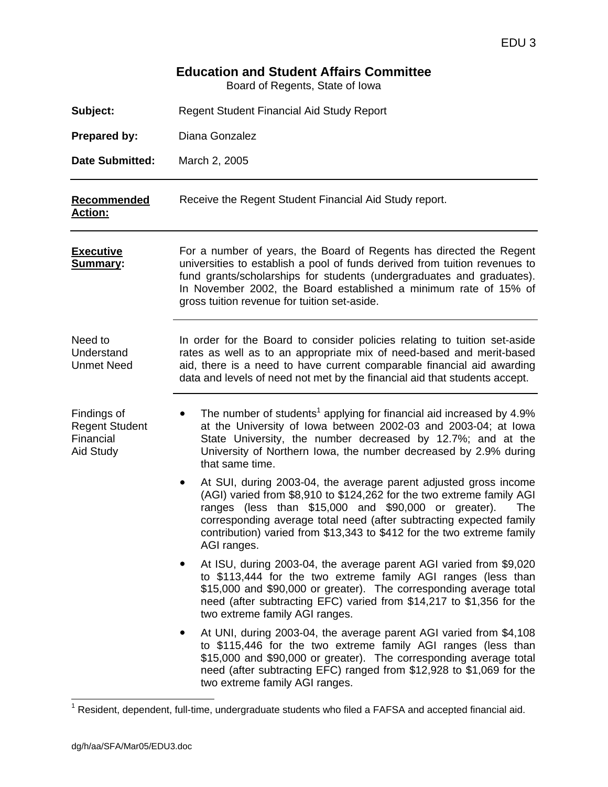# **Education and Student Affairs Committee**

Board of Regents, State of Iowa

| Subject:                                                       | <b>Regent Student Financial Aid Study Report</b>                                                                                                                                                                                                                                                                                                                              |  |  |  |  |  |  |  |  |  |  |
|----------------------------------------------------------------|-------------------------------------------------------------------------------------------------------------------------------------------------------------------------------------------------------------------------------------------------------------------------------------------------------------------------------------------------------------------------------|--|--|--|--|--|--|--|--|--|--|
| <b>Prepared by:</b>                                            | Diana Gonzalez                                                                                                                                                                                                                                                                                                                                                                |  |  |  |  |  |  |  |  |  |  |
| <b>Date Submitted:</b>                                         | March 2, 2005                                                                                                                                                                                                                                                                                                                                                                 |  |  |  |  |  |  |  |  |  |  |
| Recommended<br><b>Action:</b>                                  | Receive the Regent Student Financial Aid Study report.                                                                                                                                                                                                                                                                                                                        |  |  |  |  |  |  |  |  |  |  |
| <b>Executive</b><br><b>Summary:</b>                            | For a number of years, the Board of Regents has directed the Regent<br>universities to establish a pool of funds derived from tuition revenues to<br>fund grants/scholarships for students (undergraduates and graduates).<br>In November 2002, the Board established a minimum rate of 15% of<br>gross tuition revenue for tuition set-aside.                                |  |  |  |  |  |  |  |  |  |  |
| Need to<br>Understand<br><b>Unmet Need</b>                     | In order for the Board to consider policies relating to tuition set-aside<br>rates as well as to an appropriate mix of need-based and merit-based<br>aid, there is a need to have current comparable financial aid awarding<br>data and levels of need not met by the financial aid that students accept.                                                                     |  |  |  |  |  |  |  |  |  |  |
| Findings of<br><b>Regent Student</b><br>Financial<br>Aid Study | The number of students <sup>1</sup> applying for financial aid increased by 4.9%<br>at the University of Iowa between 2002-03 and 2003-04; at Iowa<br>State University, the number decreased by 12.7%; and at the<br>University of Northern Iowa, the number decreased by 2.9% during<br>that same time.                                                                      |  |  |  |  |  |  |  |  |  |  |
|                                                                | At SUI, during 2003-04, the average parent adjusted gross income<br>٠<br>(AGI) varied from \$8,910 to \$124,262 for the two extreme family AGI<br>ranges (less than \$15,000 and \$90,000 or greater).<br>The<br>corresponding average total need (after subtracting expected family<br>contribution) varied from \$13,343 to \$412 for the two extreme family<br>AGI ranges. |  |  |  |  |  |  |  |  |  |  |
|                                                                | At ISU, during 2003-04, the average parent AGI varied from \$9,020<br>to \$113,444 for the two extreme family AGI ranges (less than<br>\$15,000 and \$90,000 or greater). The corresponding average total<br>need (after subtracting EFC) varied from \$14,217 to \$1,356 for the<br>two extreme family AGI ranges.                                                           |  |  |  |  |  |  |  |  |  |  |
|                                                                | At UNI, during 2003-04, the average parent AGI varied from \$4,108<br>to \$115,446 for the two extreme family AGI ranges (less than<br>\$15,000 and \$90,000 or greater). The corresponding average total<br>need (after subtracting EFC) ranged from \$12,928 to \$1,069 for the<br>two extreme family AGI ranges.                                                           |  |  |  |  |  |  |  |  |  |  |

 1 Resident, dependent, full-time, undergraduate students who filed a FAFSA and accepted financial aid.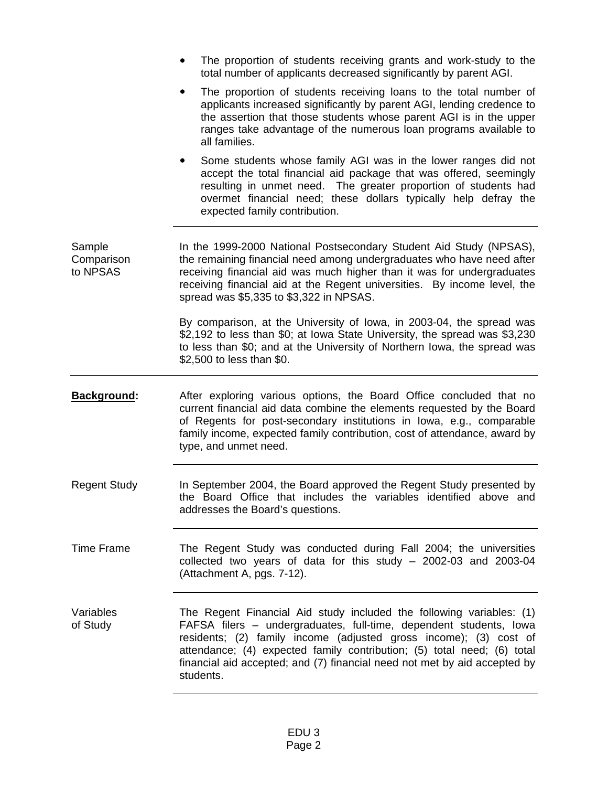|                                  | The proportion of students receiving grants and work-study to the<br>total number of applicants decreased significantly by parent AGI.                                                                                                                                                                                                                                               |
|----------------------------------|--------------------------------------------------------------------------------------------------------------------------------------------------------------------------------------------------------------------------------------------------------------------------------------------------------------------------------------------------------------------------------------|
|                                  | The proportion of students receiving loans to the total number of<br>applicants increased significantly by parent AGI, lending credence to<br>the assertion that those students whose parent AGI is in the upper<br>ranges take advantage of the numerous loan programs available to<br>all families.                                                                                |
|                                  | Some students whose family AGI was in the lower ranges did not<br>$\bullet$<br>accept the total financial aid package that was offered, seemingly<br>resulting in unmet need. The greater proportion of students had<br>overmet financial need; these dollars typically help defray the<br>expected family contribution.                                                             |
| Sample<br>Comparison<br>to NPSAS | In the 1999-2000 National Postsecondary Student Aid Study (NPSAS),<br>the remaining financial need among undergraduates who have need after<br>receiving financial aid was much higher than it was for undergraduates<br>receiving financial aid at the Regent universities. By income level, the<br>spread was \$5,335 to \$3,322 in NPSAS.                                         |
|                                  | By comparison, at the University of Iowa, in 2003-04, the spread was<br>\$2,192 to less than \$0; at lowa State University, the spread was \$3,230<br>to less than \$0; and at the University of Northern Iowa, the spread was<br>\$2,500 to less than \$0.                                                                                                                          |
| <b>Background:</b>               | After exploring various options, the Board Office concluded that no<br>current financial aid data combine the elements requested by the Board<br>of Regents for post-secondary institutions in Iowa, e.g., comparable<br>family income, expected family contribution, cost of attendance, award by<br>type, and unmet need.                                                          |
| <b>Regent Study</b>              | In September 2004, the Board approved the Regent Study presented by<br>the Board Office that includes the variables identified above and<br>addresses the Board's questions.                                                                                                                                                                                                         |
| <b>Time Frame</b>                | The Regent Study was conducted during Fall 2004; the universities<br>collected two years of data for this study $-$ 2002-03 and 2003-04<br>(Attachment A, pgs. 7-12).                                                                                                                                                                                                                |
| Variables<br>of Study            | The Regent Financial Aid study included the following variables: (1)<br>FAFSA filers - undergraduates, full-time, dependent students, lowa<br>residents; (2) family income (adjusted gross income); (3) cost of<br>attendance; (4) expected family contribution; (5) total need; (6) total<br>financial aid accepted; and (7) financial need not met by aid accepted by<br>students. |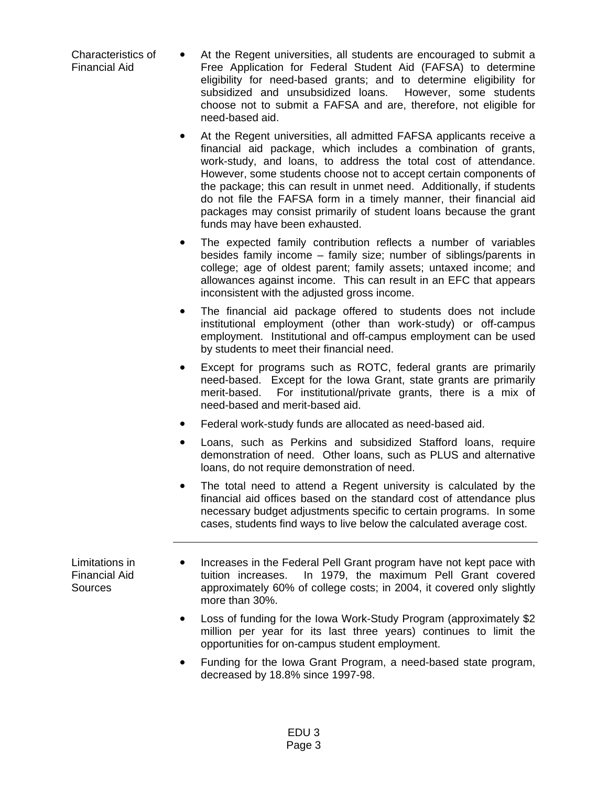Characteristics of Financial Aid

- At the Regent universities, all students are encouraged to submit a Free Application for Federal Student Aid (FAFSA) to determine eligibility for need-based grants; and to determine eligibility for subsidized and unsubsidized loans. However, some students choose not to submit a FAFSA and are, therefore, not eligible for need-based aid.
	- At the Regent universities, all admitted FAFSA applicants receive a financial aid package, which includes a combination of grants, work-study, and loans, to address the total cost of attendance. However, some students choose not to accept certain components of the package; this can result in unmet need. Additionally, if students do not file the FAFSA form in a timely manner, their financial aid packages may consist primarily of student loans because the grant funds may have been exhausted.
	- The expected family contribution reflects a number of variables besides family income – family size; number of siblings/parents in college; age of oldest parent; family assets; untaxed income; and allowances against income. This can result in an EFC that appears inconsistent with the adjusted gross income.
	- The financial aid package offered to students does not include institutional employment (other than work-study) or off-campus employment. Institutional and off-campus employment can be used by students to meet their financial need.
	- Except for programs such as ROTC, federal grants are primarily need-based. Except for the Iowa Grant, state grants are primarily merit-based. For institutional/private grants, there is a mix of need-based and merit-based aid.
	- Federal work-study funds are allocated as need-based aid.
	- Loans, such as Perkins and subsidized Stafford loans, require demonstration of need. Other loans, such as PLUS and alternative loans, do not require demonstration of need.
	- The total need to attend a Regent university is calculated by the financial aid offices based on the standard cost of attendance plus necessary budget adjustments specific to certain programs. In some cases, students find ways to live below the calculated average cost.

Limitations in Financial Aid **Sources** 

- Increases in the Federal Pell Grant program have not kept pace with tuition increases. In 1979, the maximum Pell Grant covered approximately 60% of college costs; in 2004, it covered only slightly more than 30%.
- Loss of funding for the Iowa Work-Study Program (approximately \$2 million per year for its last three years) continues to limit the opportunities for on-campus student employment.
- Funding for the Iowa Grant Program, a need-based state program, decreased by 18.8% since 1997-98.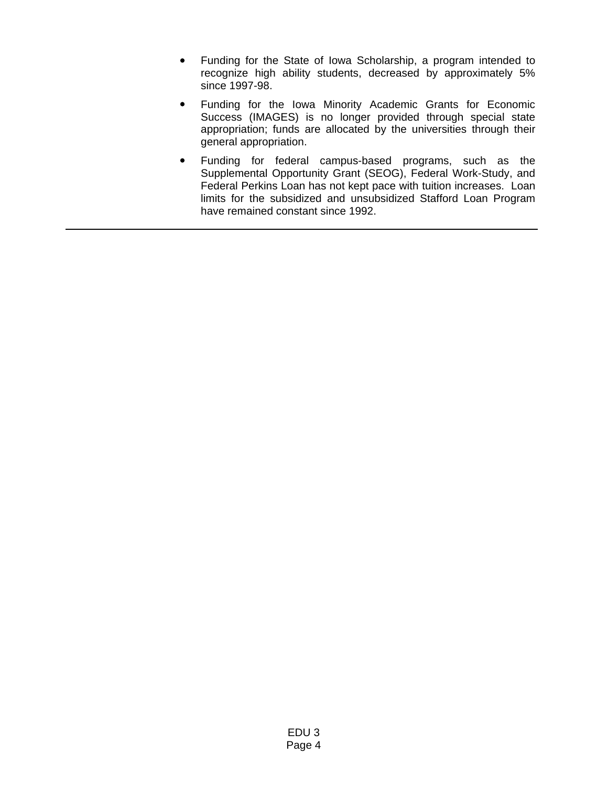- Funding for the State of Iowa Scholarship, a program intended to recognize high ability students, decreased by approximately 5% since 1997-98.
- Funding for the Iowa Minority Academic Grants for Economic Success (IMAGES) is no longer provided through special state appropriation; funds are allocated by the universities through their general appropriation.
- y Funding for federal campus-based programs, such as the Supplemental Opportunity Grant (SEOG), Federal Work-Study, and Federal Perkins Loan has not kept pace with tuition increases. Loan limits for the subsidized and unsubsidized Stafford Loan Program have remained constant since 1992.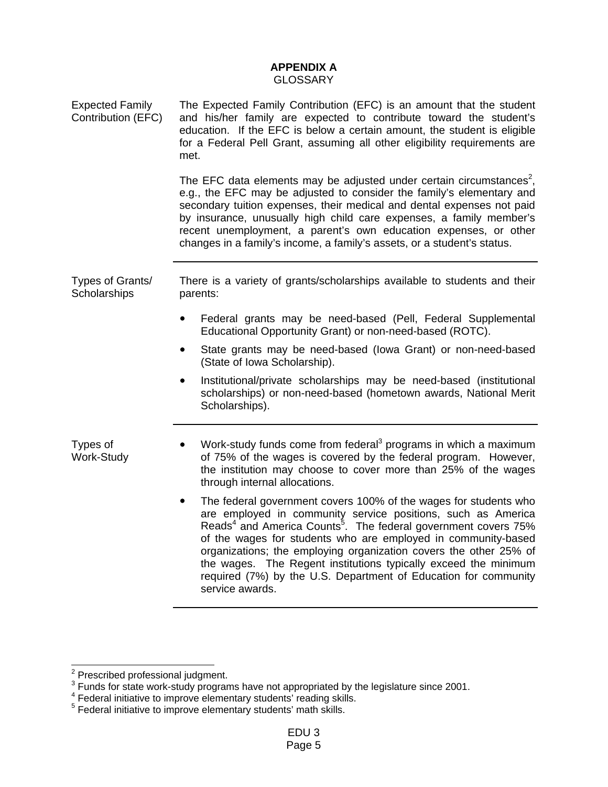# **APPENDIX A GLOSSARY**

| <b>Expected Family</b><br>Contribution (EFC) | The Expected Family Contribution (EFC) is an amount that the student<br>and his/her family are expected to contribute toward the student's<br>education. If the EFC is below a certain amount, the student is eligible<br>for a Federal Pell Grant, assuming all other eligibility requirements are<br>met.                                                                                                                                                                                                                    |  |  |  |  |  |  |  |  |
|----------------------------------------------|--------------------------------------------------------------------------------------------------------------------------------------------------------------------------------------------------------------------------------------------------------------------------------------------------------------------------------------------------------------------------------------------------------------------------------------------------------------------------------------------------------------------------------|--|--|--|--|--|--|--|--|
|                                              | The EFC data elements may be adjusted under certain circumstances <sup>2</sup> ,<br>e.g., the EFC may be adjusted to consider the family's elementary and<br>secondary tuition expenses, their medical and dental expenses not paid<br>by insurance, unusually high child care expenses, a family member's<br>recent unemployment, a parent's own education expenses, or other<br>changes in a family's income, a family's assets, or a student's status.                                                                      |  |  |  |  |  |  |  |  |
| Types of Grants/<br>Scholarships             | There is a variety of grants/scholarships available to students and their<br>parents:                                                                                                                                                                                                                                                                                                                                                                                                                                          |  |  |  |  |  |  |  |  |
|                                              | Federal grants may be need-based (Pell, Federal Supplemental<br>٠<br>Educational Opportunity Grant) or non-need-based (ROTC).                                                                                                                                                                                                                                                                                                                                                                                                  |  |  |  |  |  |  |  |  |
|                                              | State grants may be need-based (lowa Grant) or non-need-based<br>(State of Iowa Scholarship).                                                                                                                                                                                                                                                                                                                                                                                                                                  |  |  |  |  |  |  |  |  |
|                                              | Institutional/private scholarships may be need-based (institutional<br>٠<br>scholarships) or non-need-based (hometown awards, National Merit<br>Scholarships).                                                                                                                                                                                                                                                                                                                                                                 |  |  |  |  |  |  |  |  |
| Types of<br><b>Work-Study</b>                | Work-study funds come from federal <sup>3</sup> programs in which a maximum<br>of 75% of the wages is covered by the federal program. However,<br>the institution may choose to cover more than 25% of the wages<br>through internal allocations.                                                                                                                                                                                                                                                                              |  |  |  |  |  |  |  |  |
|                                              | The federal government covers 100% of the wages for students who<br>٠<br>are employed in community service positions, such as America<br>Reads <sup>4</sup> and America Counts <sup>5</sup> . The federal government covers 75%<br>of the wages for students who are employed in community-based<br>organizations; the employing organization covers the other 25% of<br>the wages. The Regent institutions typically exceed the minimum<br>required (7%) by the U.S. Department of Education for community<br>service awards. |  |  |  |  |  |  |  |  |

<sup>2&</sup>lt;br><sup>2</sup> Prescribed professional judgment.<br><sup>3</sup> Funds for state work-study programs have not appropriated by the legislature since 2001.

<sup>&</sup>lt;sup>4</sup> Federal initiative to improve elementary students' reading skills.<br><sup>5</sup> Federal initiative to improve elementary students' math skills.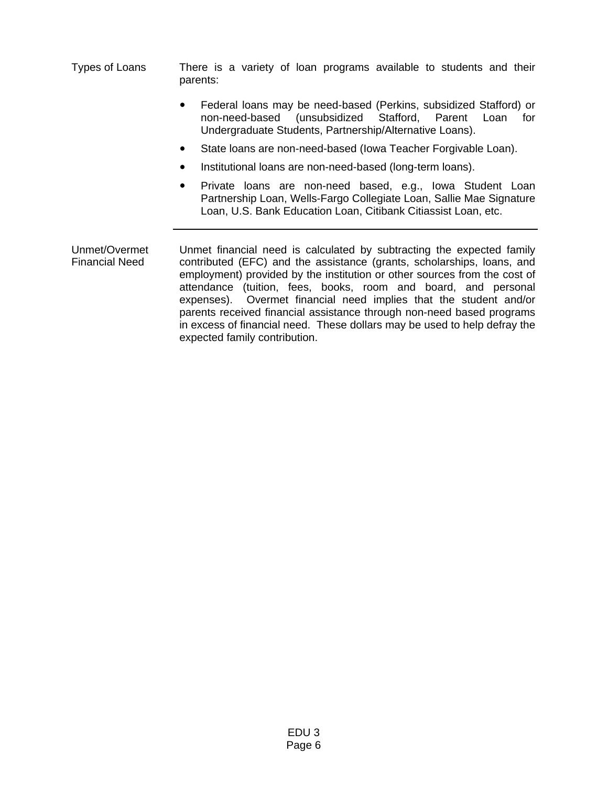Types of Loans There is a variety of loan programs available to students and their parents:

- Federal loans may be need-based (Perkins, subsidized Stafford) or non-need-based (unsubsidized Stafford, Parent Loan for Undergraduate Students, Partnership/Alternative Loans).
- State loans are non-need-based (Iowa Teacher Forgivable Loan).
- Institutional loans are non-need-based (long-term loans).
- Private loans are non-need based, e.g., Iowa Student Loan Partnership Loan, Wells-Fargo Collegiate Loan, Sallie Mae Signature Loan, U.S. Bank Education Loan, Citibank Citiassist Loan, etc.

Unmet/Overmet Financial Need Unmet financial need is calculated by subtracting the expected family contributed (EFC) and the assistance (grants, scholarships, loans, and employment) provided by the institution or other sources from the cost of attendance (tuition, fees, books, room and board, and personal expenses). Overmet financial need implies that the student and/or parents received financial assistance through non-need based programs in excess of financial need. These dollars may be used to help defray the expected family contribution.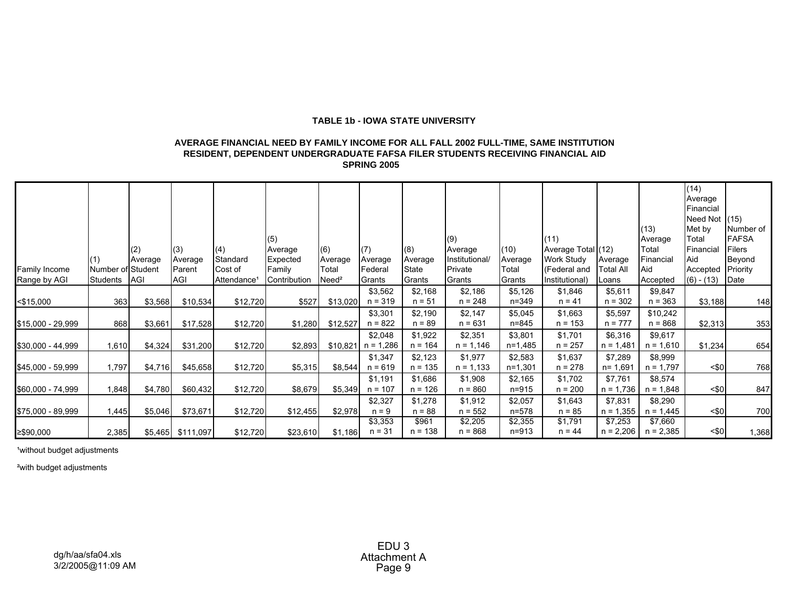### **TABLE 1b - IOWA STATE UNIVERSITY**

### **SPRING 2005 AVERAGE FINANCIAL NEED BY FAMILY INCOME FOR ALL FALL 2002 FULL-TIME, SAME INSTITUTION RESIDENT, DEPENDENT UNDERGRADUATE FAFSA FILER STUDENTS RECEIVING FINANCIAL AID**

|                   |                   |         |                   |                         |              |                      |             |           |                |           |                    |                  |             | (14)            |               |
|-------------------|-------------------|---------|-------------------|-------------------------|--------------|----------------------|-------------|-----------|----------------|-----------|--------------------|------------------|-------------|-----------------|---------------|
|                   |                   |         |                   |                         |              |                      |             |           |                |           |                    |                  |             | Average         |               |
|                   |                   |         |                   |                         |              |                      |             |           |                |           |                    |                  |             | Financial       |               |
|                   |                   |         |                   |                         |              |                      |             |           |                |           |                    |                  |             | Need Not $(15)$ |               |
|                   |                   |         |                   |                         |              |                      |             |           |                |           |                    |                  | (13)        | Met by          | Number of     |
|                   |                   |         |                   |                         | (5)          |                      |             |           | (9)            |           | (11)               |                  | Average     | Total           | <b>FAFSA</b>  |
|                   |                   | (2)     | (3)               | (4)                     | Average      | (6)                  | (7)         | (8)       | Average        | (10)      | Average Total (12) |                  | Total       | Financial       | <b>Filers</b> |
|                   |                   | Average | Average           | Standard                | Expected     | Average              | Average     | Average   | Institutional/ | Average   | <b>Work Study</b>  | Average          | Financial   | Aid             | Beyond        |
| Family Income     | Number of Student |         | Parent            | Cost of                 | Family       | Total                | Federal     | State     | Private        | Total     | (Federal and       | <b>Total All</b> | Aid         | Accepted        | Priority      |
| Range by AGI      | Students          | AGI     | <b>AGI</b>        | Attendance <sup>1</sup> | Contribution | $N$ eed <sup>2</sup> | Grants      | Grants    | Grants         | Grants    | Institutional)     | Loans            | Accepted    | $(6) - (13)$    | Date          |
|                   |                   |         |                   |                         |              |                      | \$3,562     | \$2,168   | \$2,186        | \$5,126   | \$1,846            | \$5,611          | \$9,847     |                 |               |
| $<$ \$15,000      | 363               | \$3,568 | \$10,534          | \$12,720                | \$527        | \$13,020             | $n = 319$   | $n = 51$  | $n = 248$      | n=349     | $n = 41$           | $n = 302$        | $n = 363$   | \$3,188         | 148           |
|                   |                   |         |                   |                         |              |                      | \$3,301     | \$2,190   | \$2,147        | \$5,045   | \$1,663            | \$5,597          | \$10,242    |                 |               |
| \$15,000 - 29,999 | 868               | \$3,661 | \$17,528          | \$12,720                | \$1,280      | \$12,527             | $n = 822$   | $n = 89$  | $n = 631$      | n=845     | $n = 153$          | $n = 777$        | $n = 868$   | \$2,313         | 353           |
|                   |                   |         |                   |                         |              |                      | \$2,048     | \$1,922   | \$2,351        | \$3,801   | \$1,701            | \$6,316          | \$9,617     |                 |               |
| \$30,000 - 44,999 | 1,610             | \$4,324 | \$31,200          | \$12,720                | \$2,893      | \$10,821             | $n = 1,286$ | $n = 164$ | $n = 1,146$    | n=1,485   | $n = 257$          | $n = 1,481$      | $n = 1,610$ | \$1,234         | 654           |
|                   |                   |         |                   |                         |              |                      | \$1,347     | \$2,123   | \$1,977        | \$2,583   | \$1,637            | \$7,289          | \$8,999     |                 |               |
| \$45,000 - 59,999 | 1,797             | \$4,716 | \$45,658          | \$12,720                | \$5,315      | \$8,544              | $n = 619$   | $n = 135$ | $n = 1,133$    | $n=1,301$ | $n = 278$          | $n = 1,691$      | $n = 1,797$ | $<$ \$0         | 768           |
|                   |                   |         |                   |                         |              |                      | \$1,191     | \$1,686   | \$1,908        | \$2,165   | \$1,702            | \$7,761          | \$8,574     |                 |               |
| \$60,000 - 74,999 | 1,848             | \$4,780 | \$60,432          | \$12,720                | \$8,679      | \$5,349              | $n = 107$   | $n = 126$ | $n = 860$      | n=915     | $n = 200$          | $n = 1,736$      | $n = 1,848$ | $<$ \$0         | 847           |
|                   |                   |         |                   |                         |              |                      | \$2,327     | \$1,278   | \$1,912        | \$2,057   | \$1,643            | \$7,831          | \$8,290     |                 |               |
| \$75,000 - 89,999 | 1,445             | \$5,046 | \$73,671          | \$12,720                | \$12,455     | \$2,978              | $n = 9$     | $n = 88$  | $n = 552$      | $n = 578$ | $n = 85$           | $n = 1,355$      | $n = 1,445$ | $<$ \$0         | 700           |
|                   |                   |         |                   |                         |              |                      | \$3,353     | \$961     | \$2,205        | \$2,355   | \$1,791            | \$7,253          | \$7,660     |                 |               |
| ≥\$90,000         | 2,385             |         | \$5,465 \$111,097 | \$12,720                | \$23,610     | \$1,186              | $n = 31$    | $n = 138$ | $n = 868$      | $n = 913$ | $n = 44$           | $n = 2,206$      | $n = 2,385$ | $<$ \$0         | 1,368         |

<sup>1</sup> without budget adjustments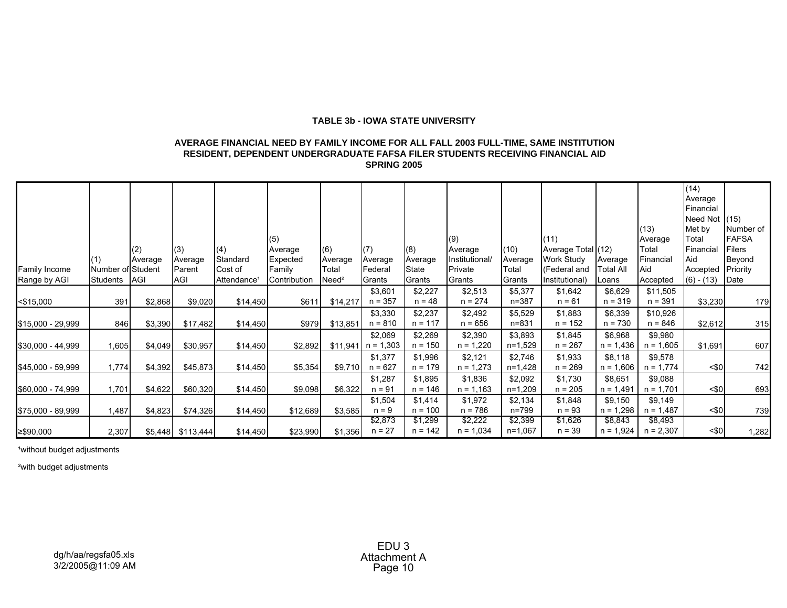## **TABLE 3b - IOWA STATE UNIVERSITY**

### **AVERAGE FINANCIAL NEED BY FAMILY INCOME FOR ALL FALL 2003 FULL-TIME, SAME INSTITUTION RESIDENT, DEPENDENT UNDERGRADUATE FAFSA FILER STUDENTS RECEIVING FINANCIAL AID SPRING 2005**

| Family Income<br>Range by AGI | Number of Student<br>Students | (2)<br>Average<br>AGI | (3)<br>Average<br>Parent<br>AGI | (4)<br>Standard<br>Cost of<br>Attendance <sup>1</sup> | (5)<br>Average<br>Expected<br>Family<br>Contribution | (6)<br>Average<br>Total<br>$N$ eed <sup>2</sup> | (7)<br>Average<br>Federal<br>Grants | (8)<br>Average<br><b>State</b><br>Grants | (9)<br>Average<br>Institutional/<br>Private<br>Grants | (10)<br>Average<br>Total<br>Grants | (11)<br>Average Total (12)<br>Work Study<br>(Federal and<br>Institutional) | Average<br><b>Total All</b><br>Loans | (13)<br>Average<br>Total<br>Financial<br>Aid<br>Accepted | (14)<br>Average<br>Financial<br>Need Not $(15)$<br>Met by<br>Total<br>Financial<br>Aid<br>Accepted Priority<br>$(6) - (13)$ Date | Number of<br><b>FAFSA</b><br>Filers<br>Beyond |
|-------------------------------|-------------------------------|-----------------------|---------------------------------|-------------------------------------------------------|------------------------------------------------------|-------------------------------------------------|-------------------------------------|------------------------------------------|-------------------------------------------------------|------------------------------------|----------------------------------------------------------------------------|--------------------------------------|----------------------------------------------------------|----------------------------------------------------------------------------------------------------------------------------------|-----------------------------------------------|
| $<$ \$15,000                  | 391                           | \$2,868               | \$9,020                         | \$14,450                                              | \$611                                                | \$14,217                                        | \$3,601<br>$n = 357$                | \$2,227<br>$n = 48$                      | \$2,513<br>$n = 274$                                  | \$5,377<br>$n = 387$               | \$1,642<br>$n = 61$                                                        | \$6,629<br>$n = 319$                 | \$11,505<br>$n = 391$                                    | \$3,230                                                                                                                          | 179                                           |
| \$15,000 - 29,999             | 846                           | \$3,390               | \$17,482                        | \$14,450                                              | \$979                                                | \$13,851                                        | \$3,330<br>$n = 810$                | \$2,237<br>$n = 117$                     | \$2,492<br>$n = 656$                                  | \$5,529<br>n=831                   | \$1,883<br>$n = 152$                                                       | \$6,339<br>$n = 730$                 | \$10,926<br>$n = 846$                                    | \$2,612                                                                                                                          | 315                                           |
| \$30,000 - 44,999             | 1,605                         | \$4,049               | \$30,957                        | \$14,450                                              | \$2,892                                              | \$11,941                                        | \$2,069<br>$n = 1,303$              | \$2,269<br>$n = 150$                     | \$2,390<br>$n = 1,220$                                | \$3,893<br>n=1,529                 | \$1,845<br>$n = 267$                                                       | \$6,968<br>$n = 1,436$               | \$9,980<br>$n = 1,605$                                   | \$1,691                                                                                                                          | 607                                           |
| \$45,000 - 59,999             | 1,774                         | \$4,392               | \$45,873                        | \$14,450                                              | \$5,354                                              | \$9,710                                         | \$1,377<br>$n = 627$                | \$1,996<br>$n = 179$                     | \$2,121<br>$n = 1,273$                                | \$2,746<br>n=1,428                 | \$1,933<br>$n = 269$                                                       | \$8,118<br>$n = 1,606$               | \$9,578<br>$n = 1,774$                                   | $<$ \$0                                                                                                                          | 742                                           |
| \$60,000 - 74,999             | 1,701                         | \$4,622               | \$60,320                        | \$14,450                                              | \$9,098                                              | \$6,322                                         | \$1,287<br>$n = 91$                 | \$1,895<br>$n = 146$                     | \$1,836<br>$n = 1,163$                                | \$2,092<br>$n=1,209$               | \$1,730<br>$n = 205$                                                       | \$8,651<br>$n = 1,491$               | \$9,088<br>$n = 1,701$                                   | $<$ \$0                                                                                                                          | 693                                           |
| \$75,000 - 89,999             | 1,487                         | \$4,823               | \$74,326                        | \$14,450                                              | \$12,689                                             | \$3,585                                         | \$1,504<br>$n = 9$                  | \$1,414<br>$n = 100$                     | \$1,972<br>$n = 786$                                  | \$2,134<br>n=799                   | \$1,848<br>$n = 93$                                                        | \$9,150<br>$n = 1,298$               | \$9,149<br>$n = 1,487$                                   | $<$ \$0                                                                                                                          | 739                                           |
| ≥\$90,000                     | 2,307                         |                       | \$5,448 \$113,444               | \$14,450                                              | \$23,990                                             | \$1,356                                         | \$2,873<br>$n = 27$                 | \$1,299<br>$n = 142$                     | \$2,222<br>$n = 1,034$                                | \$2,399<br>$n=1,067$               | \$1,626<br>$n = 39$                                                        | \$8,843<br>$n = 1,924$               | \$8,493<br>$n = 2,307$                                   | $<$ \$0                                                                                                                          | 1,282                                         |

<sup>1</sup>without budget adjustments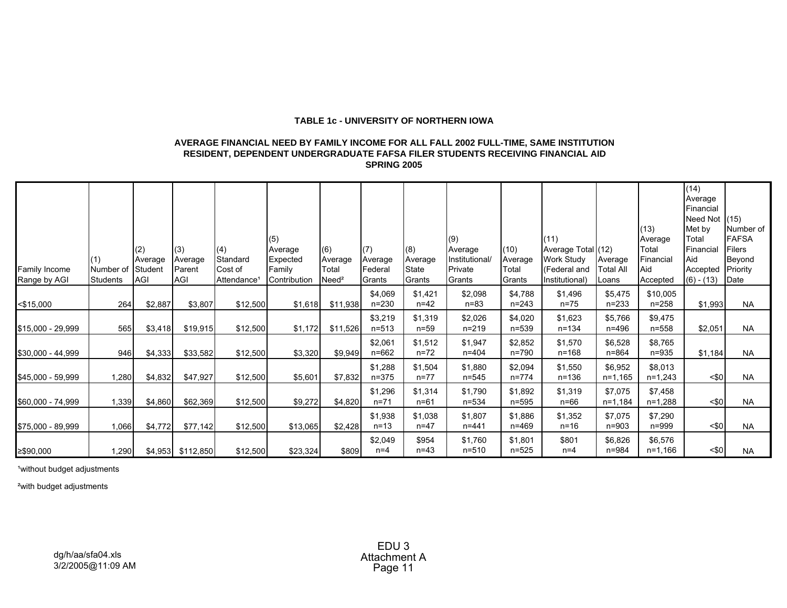### **TABLE 1c - UNIVERSITY OF NORTHERN IOWA**

### **AVERAGE FINANCIAL NEED BY FAMILY INCOME FOR ALL FALL 2002 FULL-TIME, SAME INSTITUTION RESIDENT, DEPENDENT UNDERGRADUATE FAFSA FILER STUDENTS RECEIVING FINANCIAL AID SPRING 2005**

| Family Income<br>Range by AGI | Number of<br>Students | (2)<br>Average<br>Student<br><b>AGI</b> | (3)<br>Average<br>Parent<br>AGI | (4)<br>Standard<br>Cost of<br>Attendance <sup>®</sup> | (5)<br>Average<br>Expected<br>Family<br>Contribution | (6)<br>Average<br>Total<br>$N$ eed <sup>2</sup> | (7)<br>Average<br>Federal<br>Grants | (8)<br>Average<br><b>State</b><br>Grants | (9)<br>Average<br>Institutional/<br>Private<br>Grants | (10)<br>Average<br>Total<br>Grants | (11)<br>Average Total (12)<br>Work Study<br>(Federal and<br>Institutional) | Average<br><b>Total All</b><br>Loans | (13)<br>Average<br>Total<br>Financial<br>Aid<br>Accepted | (14)<br>Average<br>Financial<br>Need Not (15)<br>Met by<br>Total<br>Financial<br>Aid<br>Accepted Priority<br>$(6) - (13)$ | Number of<br><b>FAFSA</b><br>Filers<br>Beyond<br>Date |
|-------------------------------|-----------------------|-----------------------------------------|---------------------------------|-------------------------------------------------------|------------------------------------------------------|-------------------------------------------------|-------------------------------------|------------------------------------------|-------------------------------------------------------|------------------------------------|----------------------------------------------------------------------------|--------------------------------------|----------------------------------------------------------|---------------------------------------------------------------------------------------------------------------------------|-------------------------------------------------------|
| $<$ \$15,000                  | 264                   | \$2,887                                 | \$3,807                         | \$12,500                                              | \$1,618                                              | \$11,938                                        | \$4,069<br>$n = 230$                | \$1,421<br>$n = 42$                      | \$2,098<br>$n=83$                                     | \$4,788<br>$n = 243$               | \$1,496<br>$n = 75$                                                        | \$5,475<br>$n = 233$                 | \$10,005<br>$n = 258$                                    | \$1,993                                                                                                                   | <b>NA</b>                                             |
| \$15,000 - 29,999             | 565                   | \$3,418                                 | \$19,915                        | \$12,500                                              | \$1,172                                              | \$11,526                                        | \$3,219<br>$n = 513$                | \$1,319<br>$n = 59$                      | \$2,026<br>$n = 219$                                  | \$4,020<br>$n = 539$               | \$1,623<br>$n = 134$                                                       | \$5,766<br>$n = 496$                 | \$9,475<br>$n = 558$                                     | \$2,051                                                                                                                   | <b>NA</b>                                             |
| \$30,000 - 44,999             | 946                   | \$4,333                                 | \$33,582                        | \$12,500                                              | \$3,320                                              | \$9,949                                         | \$2,061<br>$n = 662$                | \$1,512<br>$n = 72$                      | \$1,947<br>$n = 404$                                  | \$2,852<br>$n = 790$               | \$1,570<br>$n = 168$                                                       | \$6,528<br>$n = 864$                 | \$8,765<br>$n = 935$                                     | \$1,184                                                                                                                   | <b>NA</b>                                             |
| \$45,000 - 59,999             | 1,280                 | \$4,832                                 | \$47,927                        | \$12,500                                              | \$5,601                                              | \$7,832                                         | \$1,288<br>$n = 375$                | \$1,504<br>$n = 77$                      | \$1,880<br>$n = 545$                                  | \$2,094<br>$n = 774$               | \$1,550<br>$n = 136$                                                       | \$6,952<br>$n=1,165$                 | \$8,013<br>$n=1,243$                                     | $<$ \$0                                                                                                                   | <b>NA</b>                                             |
| \$60,000 - 74,999             | 1,339                 | \$4,860                                 | \$62,369                        | \$12,500                                              | \$9,272                                              | \$4,820                                         | \$1,296<br>$n = 71$                 | \$1,314<br>$n = 61$                      | \$1,790<br>$n = 534$                                  | \$1,892<br>$n = 595$               | \$1,319<br>$n=66$                                                          | \$7,075<br>$n=1,184$                 | \$7,458<br>$n=1,288$                                     | $<$ \$0                                                                                                                   | <b>NA</b>                                             |
| \$75,000 - 89,999             | 1,066                 | \$4,772                                 | \$77,142                        | \$12,500                                              | \$13,065                                             | \$2,428                                         | \$1,938<br>$n=13$                   | \$1,038<br>$n = 47$                      | \$1,807<br>$n = 441$                                  | \$1,886<br>$n = 469$               | \$1,352<br>$n = 16$                                                        | \$7,075<br>$n = 903$                 | \$7,290<br>n=999                                         | $<$ \$0                                                                                                                   | <b>NA</b>                                             |
| ≥\$90,000                     | 1,290                 |                                         | \$4,953 \$112,850               | \$12,500                                              | \$23,324                                             | \$809                                           | \$2,049<br>$n=4$                    | \$954<br>$n = 43$                        | \$1,760<br>$n = 510$                                  | \$1,801<br>$n = 525$               | \$801<br>$n=4$                                                             | \$6,826<br>n=984                     | \$6,576<br>$n=1,166$                                     | $<$ \$0                                                                                                                   | <b>NA</b>                                             |

<sup>1</sup>without budget adjustments